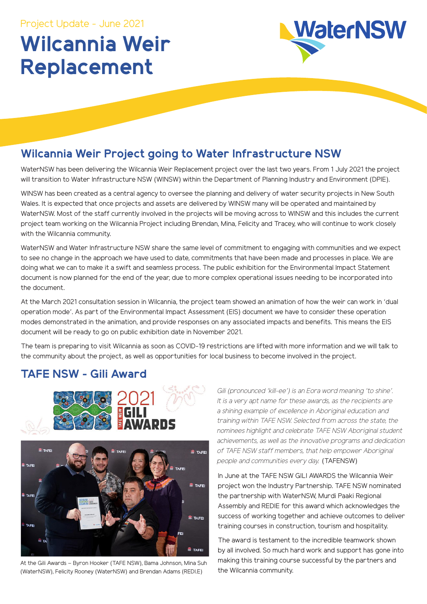# **Wilcannia Weir Replacement**



## **Wilcannia Weir Project going to Water Infrastructure NSW**

WaterNSW has been delivering the Wilcannia Weir Replacement project over the last two years. From 1 July 2021 the project will transition to Water Infrastructure NSW (WINSW) within the Department of Planning Industry and Environment (DPIE).

WINSW has been created as a central agency to oversee the planning and delivery of water security projects in New South Wales. It is expected that once projects and assets are delivered by WINSW many will be operated and maintained by WaterNSW. Most of the staff currently involved in the projects will be moving across to WINSW and this includes the current project team working on the Wilcannia Project including Brendan, Mina, Felicity and Tracey, who will continue to work closely with the Wilcannia community.

WaterNSW and Water Infrastructure NSW share the same level of commitment to engaging with communities and we expect to see no change in the approach we have used to date, commitments that have been made and processes in place. We are doing what we can to make it a swift and seamless process. The public exhibition for the Environmental Impact Statement document is now planned for the end of the year, due to more complex operational issues needing to be incorporated into the document.

At the March 2021 consultation session in Wilcannia, the project team showed an animation of how the weir can work in 'dual operation mode'. As part of the Environmental Impact Assessment (EIS) document we have to consider these operation modes demonstrated in the animation, and provide responses on any associated impacts and benefits. This means the EIS document will be ready to go on public exhibition date in November 2021.

The team is preparing to visit Wilcannia as soon as COVID-19 restrictions are lifted with more information and we will talk to the community about the project, as well as opportunities for local business to become involved in the project.

## **TAFE NSW - Gili Award**



At the Gili Awards – Byron Hooker (TAFE NSW), Bama Johnson, Mina Suh (WaterNSW), Felicity Rooney (WaterNSW) and Brendan Adams (REDI.E)

Gili (pronounced 'kill-ee') is an Eora word meaning 'to shine'. *It is a very apt name for these awards, as the recipients are a shining example of excellence in Aboriginal education and training within TAFE NSW. Selected from across the state, the nominees highlight and celebrate TAFE NSW Aboriginal student achievements, as well as the innovative programs and dedication of TAFE NSW staff members, that help empower Aboriginal people and communities every day.* (TAFENSW)

In June at the TAFE NSW GILI AWARDS the Wilcannia Weir project won the Industry Partnership. TAFE NSW nominated the partnership with WaterNSW, Murdi Paaki Regional Assembly and REDIE for this award which acknowledges the success of working together and achieve outcomes to deliver training courses in construction, tourism and hospitality.

The award is testament to the incredible teamwork shown by all involved. So much hard work and support has gone into making this training course successful by the partners and the Wilcannia community.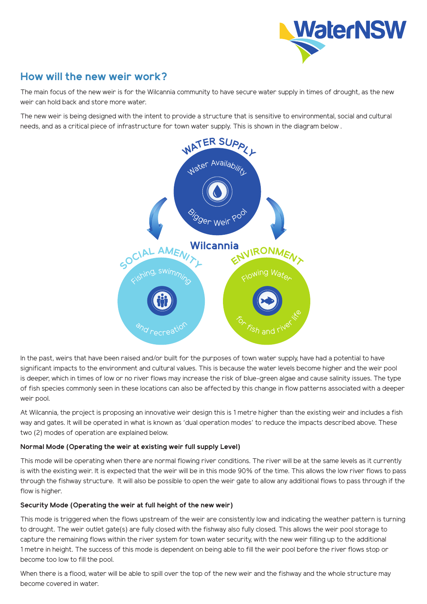

## **How will the new weir work?**

The main focus of the new weir is for the Wilcannia community to have secure water supply in times of drought, as the new weir can hold back and store more water.

The new weir is being designed with the intent to provide a structure that is sensitive to environmental, social and cultural needs, and as a critical piece of infrastructure for town water supply. This is shown in the diagram below .



In the past, weirs that have been raised and/or built for the purposes of town water supply, have had a potential to have significant impacts to the environment and cultural values. This is because the water levels become higher and the weir pool is deeper, which in times of low or no river flows may increase the risk of blue-green algae and cause salinity issues. The type of fish species commonly seen in these locations can also be affected by this change in flow patterns associated with a deeper weir pool.

At Wilcannia, the project is proposing an innovative weir design this is 1 metre higher than the existing weir and includes a fish way and gates. It will be operated in what is known as 'dual operation modes' to reduce the impacts described above. These two (2) modes of operation are explained below.

### **Normal Mode (Operating the weir at existing weir full supply Level)**

This mode will be operating when there are normal flowing river conditions. The river will be at the same levels as it currently is with the existing weir. It is expected that the weir will be in this mode 90% of the time. This allows the low river flows to pass through the fishway structure. It will also be possible to open the weir gate to allow any additional flows to pass through if the flow is higher.

### **Security Mode (Operating the weir at full height of the new weir)**

This mode is triggered when the flows upstream of the weir are consistently low and indicating the weather pattern is turning to drought. The weir outlet gate(s) are fully closed with the fishway also fully closed. This allows the weir pool storage to capture the remaining flows within the river system for town water security, with the new weir filling up to the additional 1 metre in height. The success of this mode is dependent on being able to fill the weir pool before the river flows stop or become too low to fill the pool.

When there is a flood, water will be able to spill over the top of the new weir and the fishway and the whole structure may become covered in water.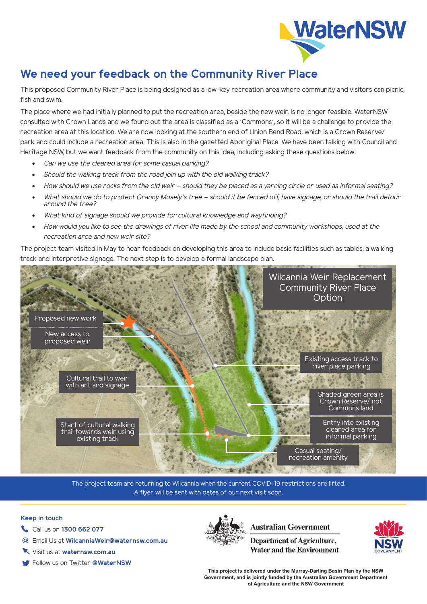

## **We need your feedback on the Community River Place**

This proposed Community River Place is being designed as a low-key recreation area where community and visitors can picnic, fish and swim.

The place where we had initially planned to put the recreation area, beside the new weir, is no longer feasible. WaterNSW consulted with Crown Lands and we found out the area is classified as a 'Commons', so it will be a challenge to provide the recreation area at this location. We are now looking at the southern end of Union Bend Road, which is a Crown Reserve/ park and could include a recreation area. This is also in the gazetted Aboriginal Place. We have been talking with Council and Heritage NSW, but we want feedback from the community on this idea, including asking these questions below:

- *Can we use the cleared area for some casual parking?*
- *Should the walking track from the road join up with the old walking track?*
- *How should we use rocks from the old weir should they be placed as a yarning circle or used as informal seating?*
- *What should we do to protect Granny Mosely's tree should it be fenced off, have signage, or should the trail detour around the tree?*
- *What kind of signage should we provide for cultural knowledge and wayfinding?*
- *How would you like to see the drawings of river life made by the school and community workshops, used at the recreation area and new weir site?*

The project team visited in May to hear feedback on developing this area to include basic facilities such as tables, a walking track and interpretive signage. The next step is to develop a formal landscape plan.



The project team are returning to Wilcannia when the current COVID-19 restrictions are lifted. A flyer will be sent with dates of our next visit soon.

#### **Keep in touch**

- Call us on **1300 662 077**
- Email Us at **WilcanniaWeir@waternsw.com.au @**
- Visit us at **waternsw.com.au**
- Follow us on Twitter **@WaterNSW**



## **Australian Government**

**Department of Agriculture, Water and the Environment** 



**This project is delivered under the Murray-Darling Basin Plan by the NSW Government, and is jointly funded by the Australian Government Department of Agriculture and the NSW Government**